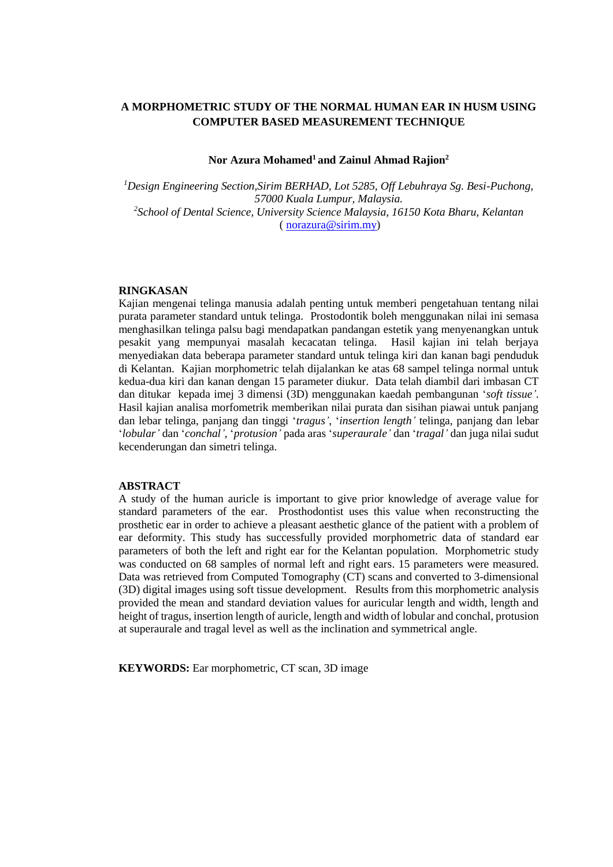# **A MORPHOMETRIC STUDY OF THE NORMAL HUMAN EAR IN HUSM USING COMPUTER BASED MEASUREMENT TECHNIQUE**

### **Nor Azura Mohamed<sup>1</sup>and Zainul Ahmad Rajion<sup>2</sup>**

*<sup>1</sup>Design Engineering Section,Sirim BERHAD, Lot 5285, Off Lebuhraya Sg. Besi-Puchong, 57000 Kuala Lumpur, Malaysia. 2 School of Dental Science, University Science Malaysia, 16150 Kota Bharu, Kelantan* ( [norazura@sirim.my\)](mailto:norazura@sirim.my)

## **RINGKASAN**

Kajian mengenai telinga manusia adalah penting untuk memberi pengetahuan tentang nilai purata parameter standard untuk telinga. Prostodontik boleh menggunakan nilai ini semasa menghasilkan telinga palsu bagi mendapatkan pandangan estetik yang menyenangkan untuk pesakit yang mempunyai masalah kecacatan telinga. Hasil kajian ini telah berjaya menyediakan data beberapa parameter standard untuk telinga kiri dan kanan bagi penduduk di Kelantan. Kajian morphometric telah dijalankan ke atas 68 sampel telinga normal untuk kedua-dua kiri dan kanan dengan 15 parameter diukur. Data telah diambil dari imbasan CT dan ditukar kepada imej 3 dimensi (3D) menggunakan kaedah pembangunan '*soft tissue'*. Hasil kajian analisa morfometrik memberikan nilai purata dan sisihan piawai untuk panjang dan lebar telinga, panjang dan tinggi '*tragus'*, '*insertion length'* telinga, panjang dan lebar '*lobular'* dan '*conchal'*, '*protusion'* pada aras '*superaurale'* dan '*tragal'* dan juga nilai sudut kecenderungan dan simetri telinga.

#### **ABSTRACT**

A study of the human auricle is important to give prior knowledge of average value for standard parameters of the ear. Prosthodontist uses this value when reconstructing the prosthetic ear in order to achieve a pleasant aesthetic glance of the patient with a problem of ear deformity. This study has successfully provided morphometric data of standard ear parameters of both the left and right ear for the Kelantan population. Morphometric study was conducted on 68 samples of normal left and right ears. 15 parameters were measured. Data was retrieved from Computed Tomography (CT) scans and converted to 3-dimensional (3D) digital images using soft tissue development. Results from this morphometric analysis provided the mean and standard deviation values for auricular length and width, length and height of tragus, insertion length of auricle, length and width of lobular and conchal, protusion at superaurale and tragal level as well as the inclination and symmetrical angle.

**KEYWORDS:** Ear morphometric, CT scan, 3D image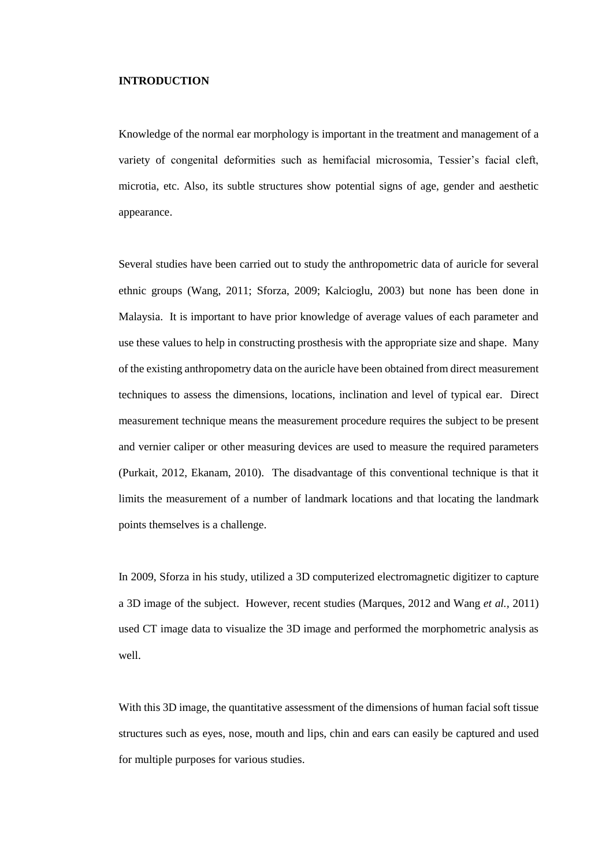#### **INTRODUCTION**

Knowledge of the normal ear morphology is important in the treatment and management of a variety of congenital deformities such as hemifacial microsomia, Tessier's facial cleft, microtia, etc. Also, its subtle structures show potential signs of age, gender and aesthetic appearance.

Several studies have been carried out to study the anthropometric data of auricle for several ethnic groups (Wang, 2011; Sforza, 2009; Kalcioglu, 2003) but none has been done in Malaysia. It is important to have prior knowledge of average values of each parameter and use these values to help in constructing prosthesis with the appropriate size and shape. Many of the existing anthropometry data on the auricle have been obtained from direct measurement techniques to assess the dimensions, locations, inclination and level of typical ear. Direct measurement technique means the measurement procedure requires the subject to be present and vernier caliper or other measuring devices are used to measure the required parameters (Purkait, 2012, Ekanam, 2010). The disadvantage of this conventional technique is that it limits the measurement of a number of landmark locations and that locating the landmark points themselves is a challenge.

In 2009, Sforza in his study, utilized a 3D computerized electromagnetic digitizer to capture a 3D image of the subject. However, recent studies (Marques, 2012 and Wang *et al.,* 2011) used CT image data to visualize the 3D image and performed the morphometric analysis as well.

With this 3D image, the quantitative assessment of the dimensions of human facial soft tissue structures such as eyes, nose, mouth and lips, chin and ears can easily be captured and used for multiple purposes for various studies.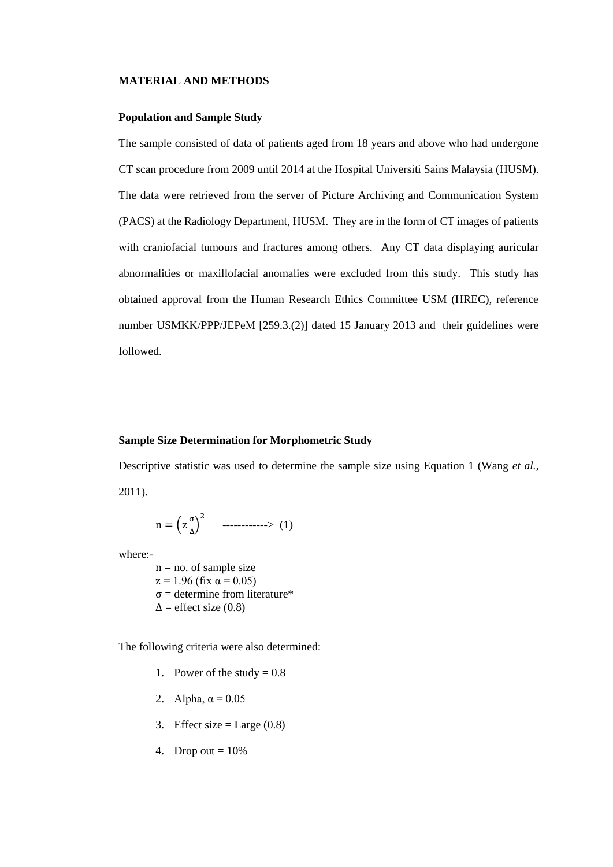#### **MATERIAL AND METHODS**

### **Population and Sample Study**

The sample consisted of data of patients aged from 18 years and above who had undergone CT scan procedure from 2009 until 2014 at the Hospital Universiti Sains Malaysia (HUSM). The data were retrieved from the server of Picture Archiving and Communication System (PACS) at the Radiology Department, HUSM. They are in the form of CT images of patients with craniofacial tumours and fractures among others. Any CT data displaying auricular abnormalities or maxillofacial anomalies were excluded from this study. This study has obtained approval from the Human Research Ethics Committee USM (HREC), reference number USMKK/PPP/JEPeM [259.3.(2)] dated 15 January 2013 and their guidelines were followed.

### **Sample Size Determination for Morphometric Study**

Descriptive statistic was used to determine the sample size using Equation 1 (Wang *et al.*, 2011).

$$
n = \left(z \frac{\sigma}{\Delta}\right)^2 \quad \dots \dots \dots \dots \dots \tag{1}
$$

where:-

 $n = no$ . of sample size  $z = 1.96$  (fix  $\alpha = 0.05$ ) σ = determine from literature\*  $\Delta$  = effect size (0.8)

The following criteria were also determined:

- 1. Power of the study  $= 0.8$
- 2. Alpha,  $\alpha = 0.05$
- 3. Effect size  $=$  Large (0.8)
- 4. Drop out  $= 10\%$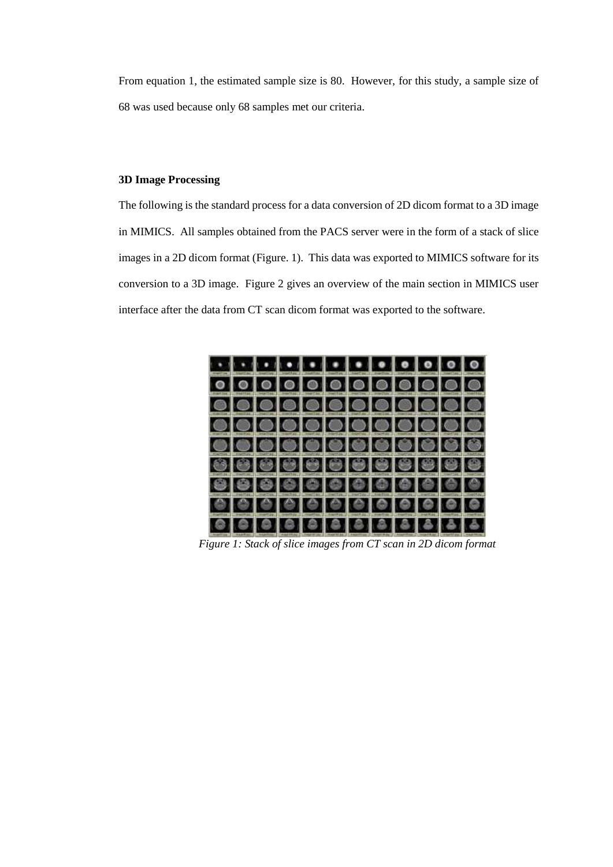From equation 1, the estimated sample size is 80. However, for this study, a sample size of 68 was used because only 68 samples met our criteria.

## **3D Image Processing**

The following is the standard process for a data conversion of 2D dicom format to a 3D image in MIMICS. All samples obtained from the PACS server were in the form of a stack of slice images in a 2D dicom format (Figure. 1). This data was exported to MIMICS software for its conversion to a 3D image. Figure 2 gives an overview of the main section in MIMICS user interface after the data from CT scan dicom format was exported to the software.



*Figure 1: Stack of slice images from CT scan in 2D dicom format*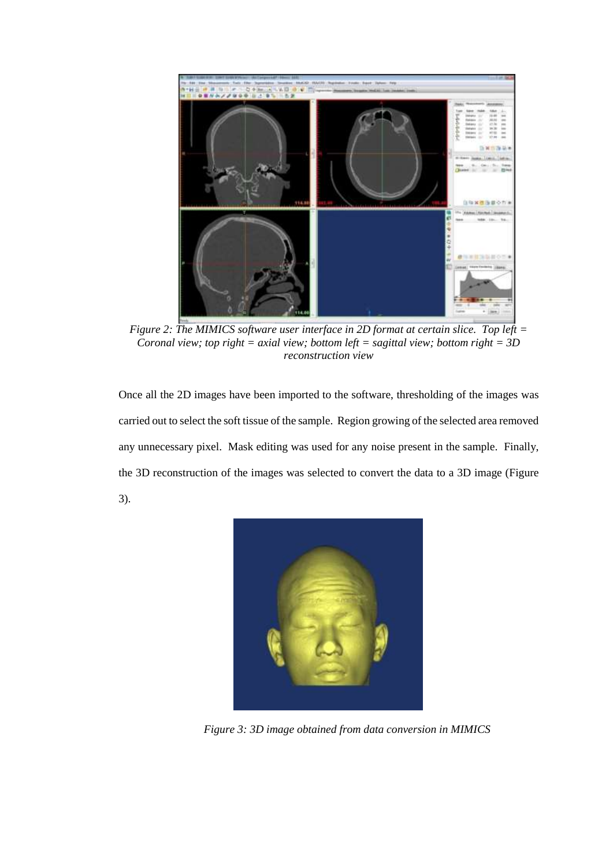

*Figure 2: The MIMICS software user interface in 2D format at certain slice. Top left = Coronal view; top right = axial view; bottom left = sagittal view; bottom right = 3D reconstruction view*

Once all the 2D images have been imported to the software, thresholding of the images was carried out to select the soft tissue of the sample. Region growing of the selected area removed any unnecessary pixel. Mask editing was used for any noise present in the sample. Finally, the 3D reconstruction of the images was selected to convert the data to a 3D image (Figure 3).



*Figure 3: 3D image obtained from data conversion in MIMICS*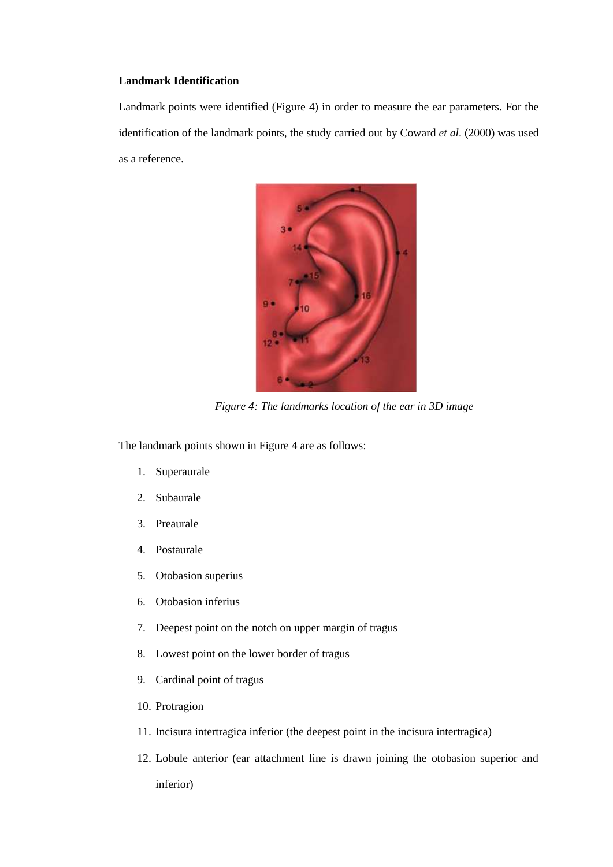### **Landmark Identification**

Landmark points were identified (Figure 4) in order to measure the ear parameters. For the identification of the landmark points, the study carried out by Coward *et al*. (2000) was used as a reference.



*Figure 4: The landmarks location of the ear in 3D image*

The landmark points shown in Figure 4 are as follows:

- 1. Superaurale
- 2. Subaurale
- 3. Preaurale
- 4. Postaurale
- 5. Otobasion superius
- 6. Otobasion inferius
- 7. Deepest point on the notch on upper margin of tragus
- 8. Lowest point on the lower border of tragus
- 9. Cardinal point of tragus
- 10. Protragion
- 11. Incisura intertragica inferior (the deepest point in the incisura intertragica)
- 12. Lobule anterior (ear attachment line is drawn joining the otobasion superior and inferior)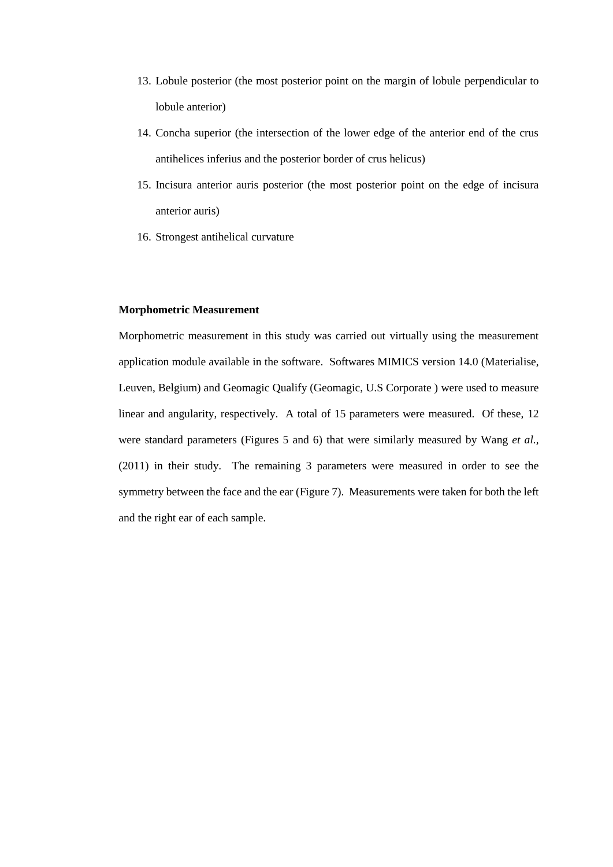- 13. Lobule posterior (the most posterior point on the margin of lobule perpendicular to lobule anterior)
- 14. Concha superior (the intersection of the lower edge of the anterior end of the crus antihelices inferius and the posterior border of crus helicus)
- 15. Incisura anterior auris posterior (the most posterior point on the edge of incisura anterior auris)
- 16. Strongest antihelical curvature

## **Morphometric Measurement**

Morphometric measurement in this study was carried out virtually using the measurement application module available in the software. Softwares MIMICS version 14.0 (Materialise, Leuven, Belgium) and Geomagic Qualify (Geomagic, U.S Corporate ) were used to measure linear and angularity, respectively. A total of 15 parameters were measured. Of these, 12 were standard parameters (Figures 5 and 6) that were similarly measured by Wang *et al.,* (2011) in their study. The remaining 3 parameters were measured in order to see the symmetry between the face and the ear (Figure 7). Measurements were taken for both the left and the right ear of each sample.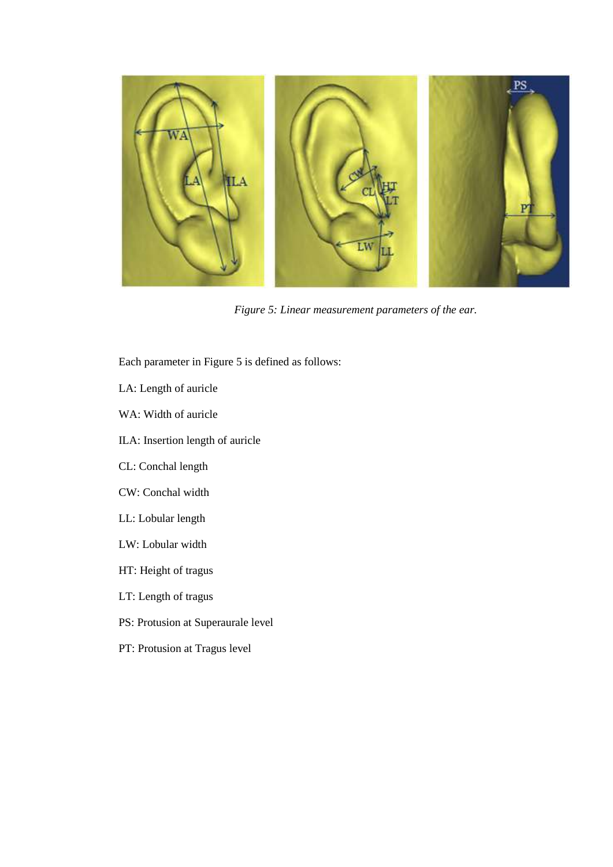

*Figure 5: Linear measurement parameters of the ear.*

Each parameter in Figure 5 is defined as follows:

- LA: Length of auricle
- WA: Width of auricle
- ILA: Insertion length of auricle
- CL: Conchal length
- CW: Conchal width
- LL: Lobular length
- LW: Lobular width
- HT: Height of tragus
- LT: Length of tragus
- PS: Protusion at Superaurale level
- PT: Protusion at Tragus level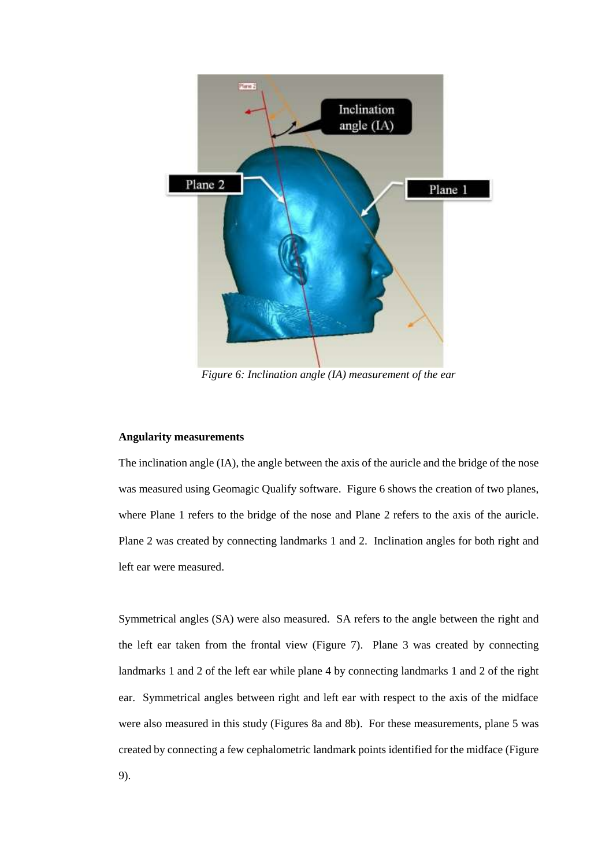

*Figure 6: Inclination angle (IA) measurement of the ear*

## **Angularity measurements**

The inclination angle (IA), the angle between the axis of the auricle and the bridge of the nose was measured using Geomagic Qualify software. Figure 6 shows the creation of two planes, where Plane 1 refers to the bridge of the nose and Plane 2 refers to the axis of the auricle. Plane 2 was created by connecting landmarks 1 and 2. Inclination angles for both right and left ear were measured.

Symmetrical angles (SA) were also measured. SA refers to the angle between the right and the left ear taken from the frontal view (Figure 7). Plane 3 was created by connecting landmarks 1 and 2 of the left ear while plane 4 by connecting landmarks 1 and 2 of the right ear. Symmetrical angles between right and left ear with respect to the axis of the midface were also measured in this study (Figures 8a and 8b). For these measurements, plane 5 was created by connecting a few cephalometric landmark points identified for the midface (Figure 9).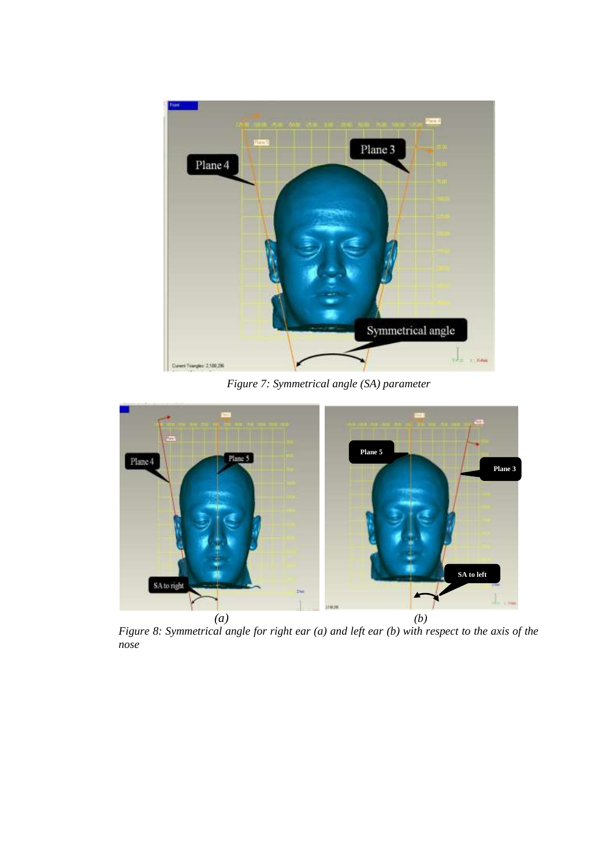

*Figure 7: Symmetrical angle (SA) parameter*



*Figure 8: Symmetrical angle for right ear (a) and left ear (b) with respect to the axis of the nose*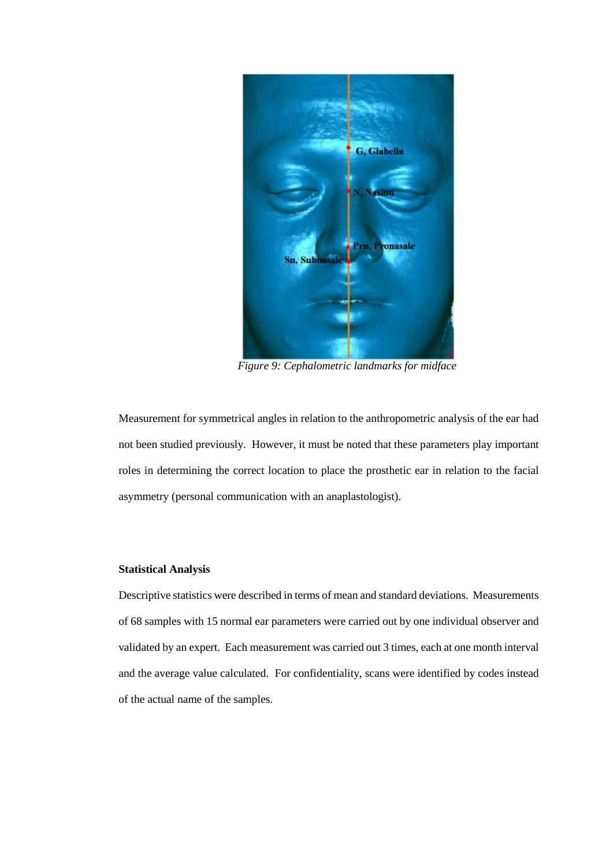

*Figure 9: Cephalometric landmarks for midface*

Measurement for symmetrical angles in relation to the anthropometric analysis of the ear had not been studied previously. However, it must be noted that these parameters play important roles in determining the correct location to place the prosthetic ear in relation to the facial asymmetry (personal communication with an anaplastologist).

### **Statistical Analysis**

Descriptive statistics were described in terms of mean and standard deviations. Measurements of 68 samples with 15 normal ear parameters were carried out by one individual observer and validated by an expert. Each measurement was carried out 3 times, each at one month interval and the average value calculated. For confidentiality, scans were identified by codes instead of the actual name of the samples.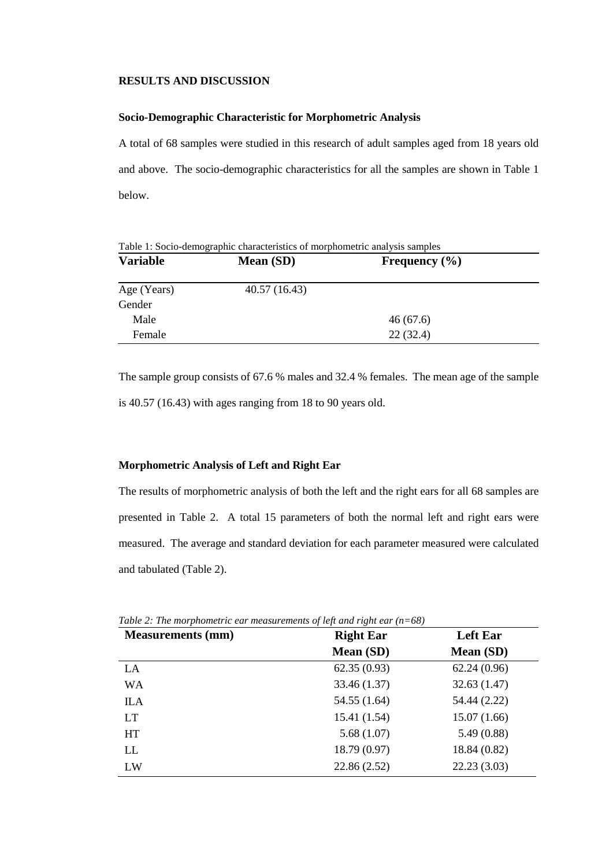#### **RESULTS AND DISCUSSION**

## **Socio-Demographic Characteristic for Morphometric Analysis**

A total of 68 samples were studied in this research of adult samples aged from 18 years old and above. The socio-demographic characteristics for all the samples are shown in Table 1 below.

| Table 1: Socio-demographic characteristics of morphometric analysis samples |              |                   |  |  |  |  |  |  |
|-----------------------------------------------------------------------------|--------------|-------------------|--|--|--|--|--|--|
| <b>Variable</b>                                                             | Mean (SD)    | Frequency $(\% )$ |  |  |  |  |  |  |
| Age (Years)                                                                 | 40.57(16.43) |                   |  |  |  |  |  |  |
| Gender                                                                      |              |                   |  |  |  |  |  |  |
| Male                                                                        |              | 46(67.6)          |  |  |  |  |  |  |
| Female                                                                      |              | 22(32.4)          |  |  |  |  |  |  |

The sample group consists of 67.6 % males and 32.4 % females. The mean age of the sample is 40.57 (16.43) with ages ranging from 18 to 90 years old.

### **Morphometric Analysis of Left and Right Ear**

The results of morphometric analysis of both the left and the right ears for all 68 samples are presented in Table 2. A total 15 parameters of both the normal left and right ears were measured. The average and standard deviation for each parameter measured were calculated and tabulated (Table 2).

| <b>Measurements (mm)</b> | <b>Right Ear</b> | <b>Left Ear</b> |  |  |
|--------------------------|------------------|-----------------|--|--|
|                          | Mean (SD)        | Mean (SD)       |  |  |
| LA                       | 62.35(0.93)      | 62.24(0.96)     |  |  |
| <b>WA</b>                | 33.46 (1.37)     | 32.63(1.47)     |  |  |
| <b>ILA</b>               | 54.55 (1.64)     | 54.44 (2.22)    |  |  |
| LT                       | 15.41 (1.54)     | 15.07(1.66)     |  |  |
| <b>HT</b>                | 5.68(1.07)       | 5.49(0.88)      |  |  |
| LL                       | 18.79 (0.97)     | 18.84 (0.82)    |  |  |
| LW                       | 22.86 (2.52)     | 22.23(3.03)     |  |  |

*Table 2: The morphometric ear measurements of left and right ear (n=68)*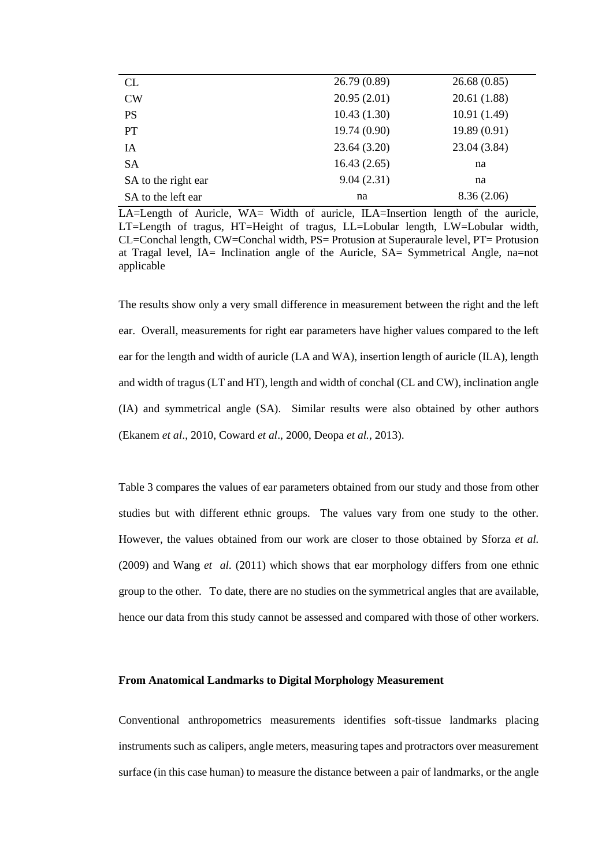| CL                  | 26.79(0.89) | 26.68(0.85)  |
|---------------------|-------------|--------------|
| <b>CW</b>           | 20.95(2.01) | 20.61 (1.88) |
| <b>PS</b>           | 10.43(1.30) | 10.91(1.49)  |
| <b>PT</b>           | 19.74(0.90) | 19.89(0.91)  |
| <b>IA</b>           | 23.64(3.20) | 23.04 (3.84) |
| <b>SA</b>           | 16.43(2.65) | na           |
| SA to the right ear | 9.04(2.31)  | na           |
| SA to the left ear  | na          | 8.36(2.06)   |
|                     |             |              |

 $LA = Length$  of Auricle,  $WA = Width$  of auricle,  $ILA = Insertion$  length of the auricle, LT=Length of tragus, HT=Height of tragus, LL=Lobular length, LW=Lobular width, CL=Conchal length, CW=Conchal width, PS= Protusion at Superaurale level, PT= Protusion at Tragal level, IA= Inclination angle of the Auricle, SA= Symmetrical Angle, na=not applicable

The results show only a very small difference in measurement between the right and the left ear. Overall, measurements for right ear parameters have higher values compared to the left ear for the length and width of auricle (LA and WA), insertion length of auricle (ILA), length and width of tragus (LT and HT), length and width of conchal (CL and CW), inclination angle (IA) and symmetrical angle (SA). Similar results were also obtained by other authors (Ekanem *et al*., 2010, Coward *et al*., 2000, Deopa *et al.,* 2013).

Table 3 compares the values of ear parameters obtained from our study and those from other studies but with different ethnic groups. The values vary from one study to the other. However, the values obtained from our work are closer to those obtained by Sforza *et al.* (2009) and Wang *et al.* (2011) which shows that ear morphology differs from one ethnic group to the other. To date, there are no studies on the symmetrical angles that are available, hence our data from this study cannot be assessed and compared with those of other workers.

### **From Anatomical Landmarks to Digital Morphology Measurement**

Conventional anthropometrics measurements identifies soft-tissue landmarks placing instruments such as calipers, angle meters, measuring tapes and protractors over measurement surface (in this case human) to measure the distance between a pair of landmarks, or the angle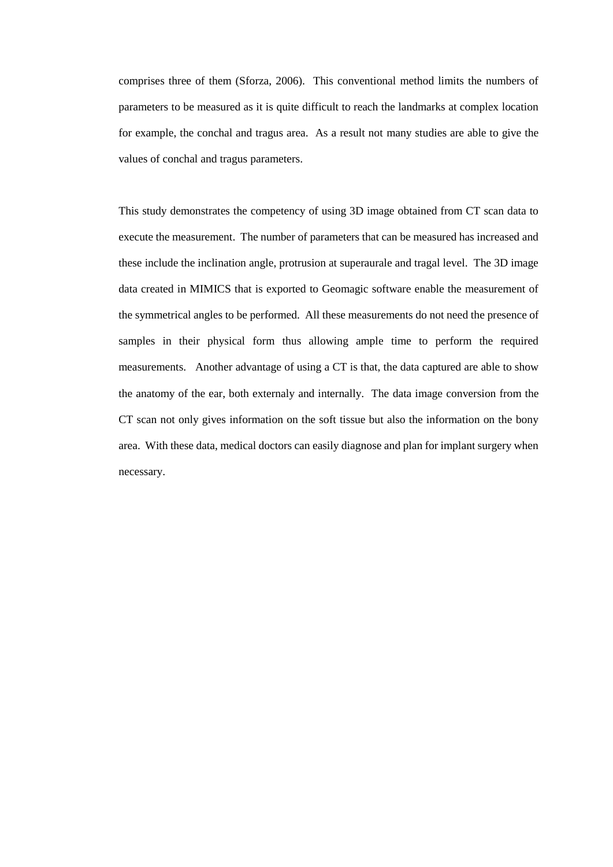comprises three of them (Sforza, 2006). This conventional method limits the numbers of parameters to be measured as it is quite difficult to reach the landmarks at complex location for example, the conchal and tragus area. As a result not many studies are able to give the values of conchal and tragus parameters.

This study demonstrates the competency of using 3D image obtained from CT scan data to execute the measurement. The number of parameters that can be measured has increased and these include the inclination angle, protrusion at superaurale and tragal level. The 3D image data created in MIMICS that is exported to Geomagic software enable the measurement of the symmetrical angles to be performed. All these measurements do not need the presence of samples in their physical form thus allowing ample time to perform the required measurements. Another advantage of using a CT is that, the data captured are able to show the anatomy of the ear, both externaly and internally. The data image conversion from the CT scan not only gives information on the soft tissue but also the information on the bony area. With these data, medical doctors can easily diagnose and plan for implant surgery when necessary.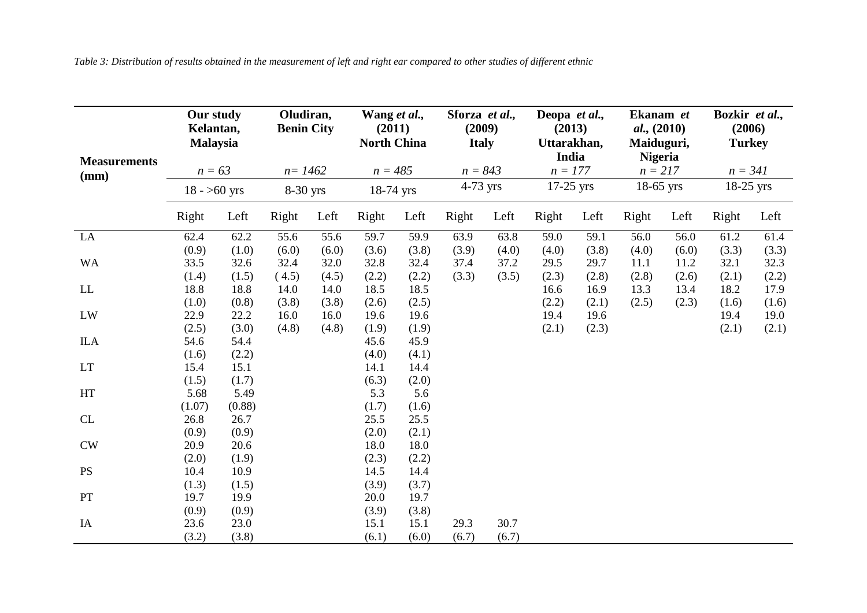*Table 3: Distribution of results obtained in the measurement of left and right ear compared to other studies of different ethnic*

|                             | Our study<br>Kelantan,<br><b>Malaysia</b> |        | Oludiran,<br><b>Benin City</b> |       | Wang et al.,<br>(2011)<br><b>North China</b> |       | Sforza et al.,<br>(2009)<br><b>Italy</b> |       | Deopa et al.,<br>(2013)<br>Uttarakhan,<br>India |       | Ekanam et<br>al., (2010)<br>Maiduguri,<br><b>Nigeria</b> |       | Bozkir et al.,<br>(2006)<br><b>Turkey</b> |       |
|-----------------------------|-------------------------------------------|--------|--------------------------------|-------|----------------------------------------------|-------|------------------------------------------|-------|-------------------------------------------------|-------|----------------------------------------------------------|-------|-------------------------------------------|-------|
| <b>Measurements</b><br>(mm) | $n = 63$<br>$18 - 50$ yrs                 |        | $n = 1462$<br>8-30 yrs         |       | $n = 485$<br>18-74 yrs                       |       | $n = 843$<br>$4-73$ yrs                  |       | $n = 177$<br>$17-25$ yrs                        |       | $n = 217$<br>$18-65$ yrs                                 |       | $n = 341$<br>$18-25$ yrs                  |       |
|                             |                                           |        |                                |       |                                              |       |                                          |       |                                                 |       |                                                          |       |                                           |       |
|                             | Right                                     | Left   | Right                          | Left  | Right                                        | Left  | Right                                    | Left  | Right                                           | Left  | Right                                                    | Left  | Right                                     | Left  |
| LA                          | 62.4                                      | 62.2   | 55.6                           | 55.6  | 59.7                                         | 59.9  | 63.9                                     | 63.8  | 59.0                                            | 59.1  | 56.0                                                     | 56.0  | 61.2                                      | 61.4  |
|                             | (0.9)                                     | (1.0)  | (6.0)                          | (6.0) | (3.6)                                        | (3.8) | (3.9)                                    | (4.0) | (4.0)                                           | (3.8) | (4.0)                                                    | (6.0) | (3.3)                                     | (3.3) |
| <b>WA</b>                   | 33.5                                      | 32.6   | 32.4                           | 32.0  | 32.8                                         | 32.4  | 37.4                                     | 37.2  | 29.5                                            | 29.7  | 11.1                                                     | 11.2  | 32.1                                      | 32.3  |
|                             | (1.4)                                     | (1.5)  | (4.5)                          | (4.5) | (2.2)                                        | (2.2) | (3.3)                                    | (3.5) | (2.3)                                           | (2.8) | (2.8)                                                    | (2.6) | (2.1)                                     | (2.2) |
| $\mathop{\rm LL}\nolimits$  | 18.8                                      | 18.8   | 14.0                           | 14.0  | 18.5                                         | 18.5  |                                          |       | 16.6                                            | 16.9  | 13.3                                                     | 13.4  | 18.2                                      | 17.9  |
|                             | (1.0)                                     | (0.8)  | (3.8)                          | (3.8) | (2.6)                                        | (2.5) |                                          |       | (2.2)                                           | (2.1) | (2.5)                                                    | (2.3) | (1.6)                                     | (1.6) |
| LW                          | 22.9                                      | 22.2   | 16.0                           | 16.0  | 19.6                                         | 19.6  |                                          |       | 19.4                                            | 19.6  |                                                          |       | 19.4                                      | 19.0  |
|                             | (2.5)                                     | (3.0)  | (4.8)                          | (4.8) | (1.9)                                        | (1.9) |                                          |       | (2.1)                                           | (2.3) |                                                          |       | (2.1)                                     | (2.1) |
| <b>ILA</b>                  | 54.6                                      | 54.4   |                                |       | 45.6                                         | 45.9  |                                          |       |                                                 |       |                                                          |       |                                           |       |
|                             | (1.6)                                     | (2.2)  |                                |       | (4.0)                                        | (4.1) |                                          |       |                                                 |       |                                                          |       |                                           |       |
| <b>LT</b>                   | 15.4                                      | 15.1   |                                |       | 14.1                                         | 14.4  |                                          |       |                                                 |       |                                                          |       |                                           |       |
|                             | (1.5)                                     | (1.7)  |                                |       | (6.3)                                        | (2.0) |                                          |       |                                                 |       |                                                          |       |                                           |       |
| HT                          | 5.68                                      | 5.49   |                                |       | 5.3                                          | 5.6   |                                          |       |                                                 |       |                                                          |       |                                           |       |
|                             | (1.07)                                    | (0.88) |                                |       | (1.7)                                        | (1.6) |                                          |       |                                                 |       |                                                          |       |                                           |       |
| CL                          | 26.8                                      | 26.7   |                                |       | 25.5                                         | 25.5  |                                          |       |                                                 |       |                                                          |       |                                           |       |
|                             | (0.9)                                     | (0.9)  |                                |       | (2.0)                                        | (2.1) |                                          |       |                                                 |       |                                                          |       |                                           |       |
| CW                          | 20.9                                      | 20.6   |                                |       | 18.0                                         | 18.0  |                                          |       |                                                 |       |                                                          |       |                                           |       |
|                             | (2.0)                                     | (1.9)  |                                |       | (2.3)                                        | (2.2) |                                          |       |                                                 |       |                                                          |       |                                           |       |
| <b>PS</b>                   | 10.4                                      | 10.9   |                                |       | 14.5                                         | 14.4  |                                          |       |                                                 |       |                                                          |       |                                           |       |
|                             | (1.3)                                     | (1.5)  |                                |       | (3.9)                                        | (3.7) |                                          |       |                                                 |       |                                                          |       |                                           |       |
| PT                          | 19.7                                      | 19.9   |                                |       | 20.0                                         | 19.7  |                                          |       |                                                 |       |                                                          |       |                                           |       |
|                             | (0.9)                                     | (0.9)  |                                |       | (3.9)                                        | (3.8) |                                          |       |                                                 |       |                                                          |       |                                           |       |
| IA                          | 23.6                                      | 23.0   |                                |       | 15.1                                         | 15.1  | 29.3                                     | 30.7  |                                                 |       |                                                          |       |                                           |       |
|                             | (3.2)                                     | (3.8)  |                                |       | (6.1)                                        | (6.0) | (6.7)                                    | (6.7) |                                                 |       |                                                          |       |                                           |       |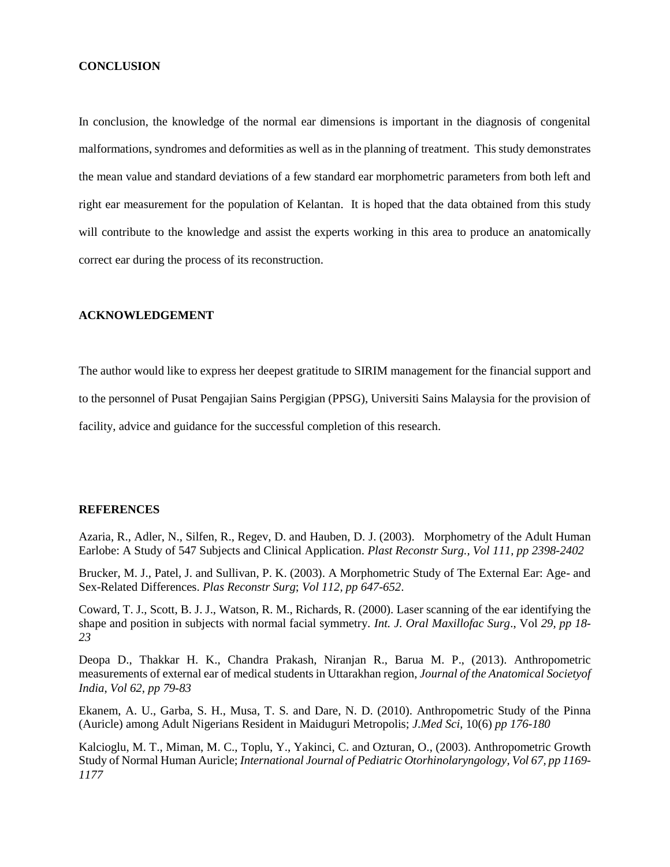#### **CONCLUSION**

In conclusion, the knowledge of the normal ear dimensions is important in the diagnosis of congenital malformations, syndromes and deformities as well as in the planning of treatment. This study demonstrates the mean value and standard deviations of a few standard ear morphometric parameters from both left and right ear measurement for the population of Kelantan. It is hoped that the data obtained from this study will contribute to the knowledge and assist the experts working in this area to produce an anatomically correct ear during the process of its reconstruction.

#### **ACKNOWLEDGEMENT**

The author would like to express her deepest gratitude to SIRIM management for the financial support and

to the personnel of Pusat Pengajian Sains Pergigian (PPSG), Universiti Sains Malaysia for the provision of

facility, advice and guidance for the successful completion of this research.

### **REFERENCES**

Azaria, R., Adler, N., Silfen, R., Regev, D. and Hauben, D. J. (2003). Morphometry of the Adult Human Earlobe: A Study of 547 Subjects and Clinical Application. *Plast Reconstr Surg., Vol 111, pp 2398-2402*

Brucker, M. J., Patel, J. and Sullivan, P. K. (2003). A Morphometric Study of The External Ear: Age- and Sex-Related Differences. *Plas Reconstr Surg*; *Vol 112, pp 647-652*.

Coward, T. J., Scott, B. J. J., Watson, R. M., Richards, R. (2000). Laser scanning of the ear identifying the shape and position in subjects with normal facial symmetry. *Int. J. Oral Maxillofac Surg*., Vol *29, pp 18- 23*

Deopa D., Thakkar H. K., Chandra Prakash, Niranjan R., Barua M. P., (2013). Anthropometric measurements of external ear of medical students in Uttarakhan region, *Journal of the Anatomical Societyof India*, *Vol 62*, *pp 79-83*

Ekanem, A. U., Garba, S. H., Musa, T. S. and Dare, N. D. (2010). Anthropometric Study of the Pinna (Auricle) among Adult Nigerians Resident in Maiduguri Metropolis; *J.Med Sci*, 10(6) *pp 176-180* 

Kalcioglu, M. T., Miman, M. C., Toplu, Y., Yakinci, C. and Ozturan, O., (2003). Anthropometric Growth Study of Normal Human Auricle; *International Journal of Pediatric Otorhinolaryngology, Vol 67, pp 1169- 1177*